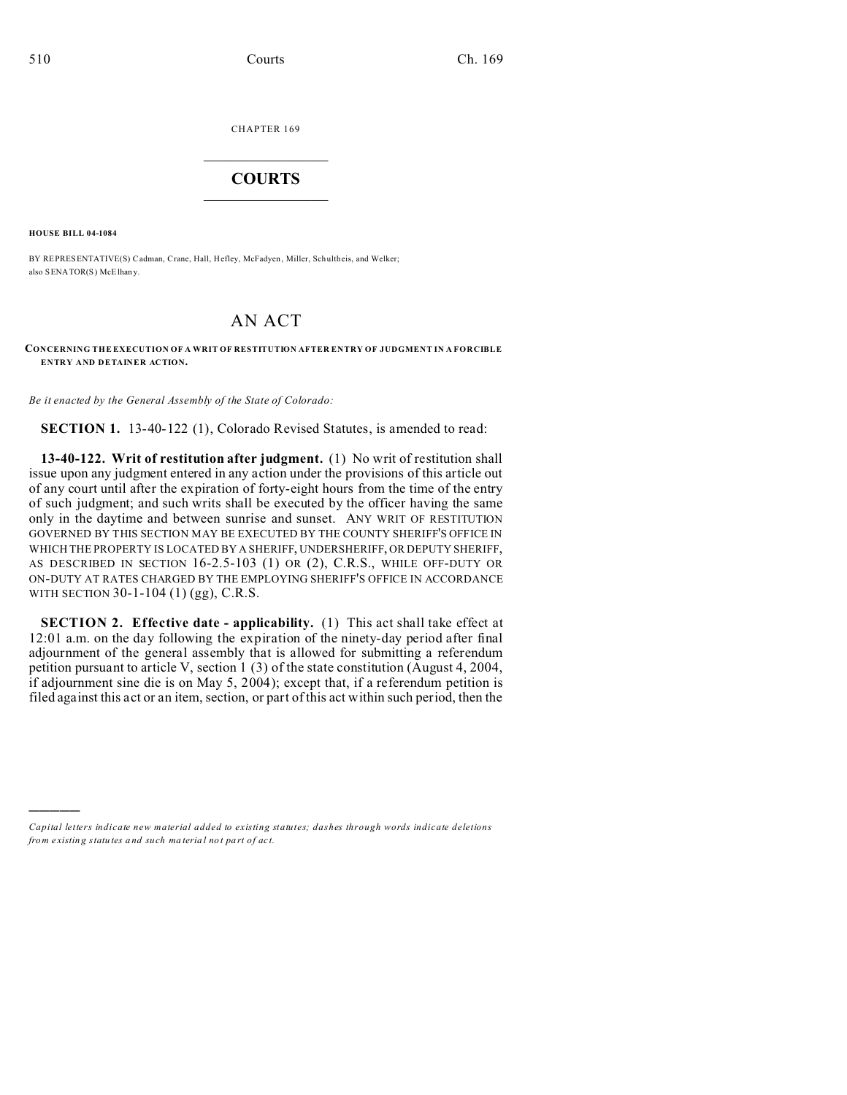CHAPTER 169  $\overline{\phantom{a}}$  , where  $\overline{\phantom{a}}$ 

## **COURTS**  $\_$

**HOUSE BILL 04-1084**

)))))

BY REPRESENTATIVE(S) Cadman, Crane, Hall, Hefley, McFadyen, Miller, Schultheis, and Welker; also SENATOR(S) McElhany.

## AN ACT

## **CONCERNING THE EXECUTION OF A WRIT OF RESTITUTION AFTER ENTRY OF JUDGMENT IN A FORCIBLE ENTRY AND DETAINER ACTION.**

*Be it enacted by the General Assembly of the State of Colorado:*

**SECTION 1.** 13-40-122 (1), Colorado Revised Statutes, is amended to read:

**13-40-122. Writ of restitution after judgment.** (1) No writ of restitution shall issue upon any judgment entered in any action under the provisions of this article out of any court until after the expiration of forty-eight hours from the time of the entry of such judgment; and such writs shall be executed by the officer having the same only in the daytime and between sunrise and sunset. ANY WRIT OF RESTITUTION GOVERNED BY THIS SECTION MAY BE EXECUTED BY THE COUNTY SHERIFF'S OFFICE IN WHICH THE PROPERTY IS LOCATED BY A SHERIFF, UNDERSHERIFF, OR DEPUTY SHERIFF, AS DESCRIBED IN SECTION 16-2.5-103 (1) OR (2), C.R.S., WHILE OFF-DUTY OR ON-DUTY AT RATES CHARGED BY THE EMPLOYING SHERIFF'S OFFICE IN ACCORDANCE WITH SECTION 30-1-104 (1) (gg), C.R.S.

**SECTION 2. Effective date - applicability.** (1) This act shall take effect at 12:01 a.m. on the day following the expiration of the ninety-day period after final adjournment of the general assembly that is allowed for submitting a referendum petition pursuant to article V, section 1 (3) of the state constitution (August 4, 2004, if adjournment sine die is on May 5, 2004); except that, if a referendum petition is filed against this act or an item, section, or part of this act within such period, then the

*Capital letters indicate new material added to existing statutes; dashes through words indicate deletions from e xistin g statu tes a nd such ma teria l no t pa rt of ac t.*